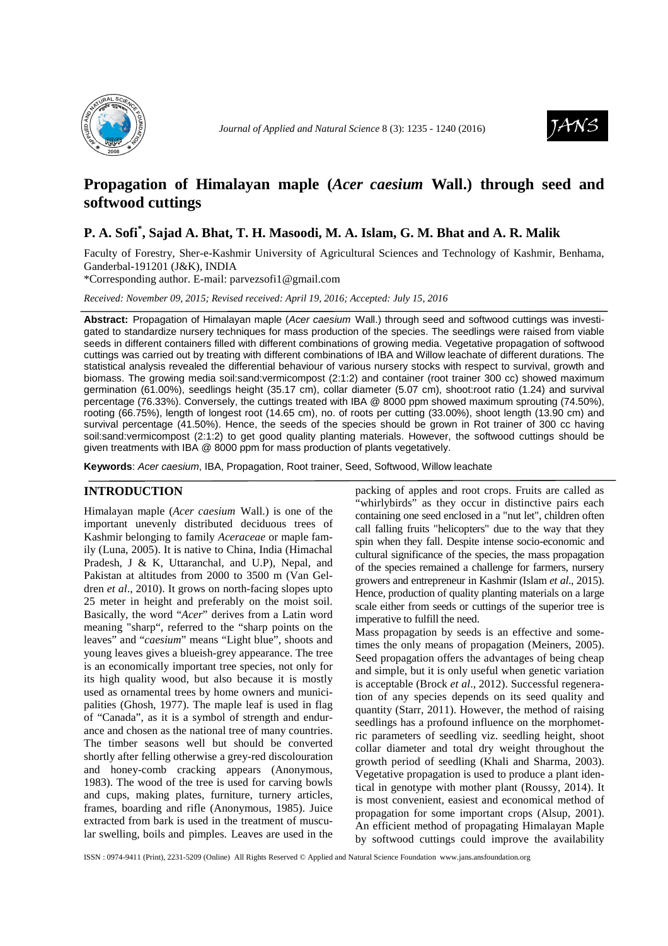

*Journal of Applied and Natural Science 8* (3): 1235 - 1240 (2016)



# **Propagation of Himalayan maple (***Acer caesium* **Wall.) through seed and softwood cuttings**

# **P. A. Sofi\* , Sajad A. Bhat, T. H. Masoodi, M. A. Islam, G. M. Bhat and A. R. Malik**

Faculty of Forestry, Sher-e-Kashmir University of Agricultural Sciences and Technology of Kashmir, Benhama, Ganderbal-191201 (J&K), INDIA

\*Corresponding author. E-mail: parvezsofi1@gmail.com

*Received: November 09, 2015; Revised received: April 19, 2016; Accepted: July 15, 2016*

**Abstract:** Propagation of Himalayan maple (Acer caesium Wall.) through seed and softwood cuttings was investigated to standardize nursery techniques for mass production of the species. The seedlings were raised from viable seeds in different containers filled with different combinations of growing media. Vegetative propagation of softwood cuttings was carried out by treating with different combinations of IBA and Willow leachate of different durations. The statistical analysis revealed the differential behaviour of various nursery stocks with respect to survival, growth and biomass. The growing media soil:sand:vermicompost (2:1:2) and container (root trainer 300 cc) showed maximum germination (61.00%), seedlings height (35.17 cm), collar diameter (5.07 cm), shoot:root ratio (1.24) and survival percentage (76.33%). Conversely, the cuttings treated with IBA @ 8000 ppm showed maximum sprouting (74.50%), rooting (66.75%), length of longest root (14.65 cm), no. of roots per cutting (33.00%), shoot length (13.90 cm) and survival percentage (41.50%). Hence, the seeds of the species should be grown in Rot trainer of 300 cc having soil:sand:vermicompost (2:1:2) to get good quality planting materials. However, the softwood cuttings should be given treatments with IBA @ 8000 ppm for mass production of plants vegetatively.

**Keywords**: Acer caesium, IBA, Propagation, Root trainer, Seed, Softwood, Willow leachate

## **INTRODUCTION**

Himalayan maple (*Acer caesium* Wall.) is one of the important unevenly distributed deciduous trees of Kashmir belonging to family *Aceraceae* or maple family (Luna, 2005). It is native to China, India (Himachal Pradesh, J & K, Uttaranchal, and U.P), Nepal, and Pakistan at altitudes from 2000 to 3500 m (Van Geldren *et al*., 2010). It grows on north-facing slopes upto 25 meter in height and preferably on the moist soil. Basically, the word "*Acer*" derives from a Latin word meaning "sharp", referred to the "sharp points on the leaves" and "*caesium*" means "Light blue", shoots and young leaves gives a blueish-grey appearance. The tree is an economically important tree species, not only for its high quality wood, but also because it is mostly used as ornamental trees by home owners and municipalities (Ghosh, 1977). The maple leaf is used in flag of "Canada", as it is a symbol of strength and endurance and chosen as the national tree of many countries. The timber seasons well but should be converted shortly after felling otherwise a grey-red discolouration and honey-comb cracking appears (Anonymous, 1983). The wood of the tree is used for carving bowls and cups, making plates, furniture, turnery articles, frames, boarding and rifle (Anonymous, 1985). Juice extracted from bark is used in the treatment of muscular swelling, boils and pimples. Leaves are used in the

packing of apples and root crops. Fruits are called as "whirlybirds" as they occur in distinctive pairs each containing one seed enclosed in a "nut let", children often call falling fruits "helicopters" due to the way that they spin when they fall. Despite intense socio-economic and cultural significance of the species, the mass propagation of the species remained a challenge for farmers, nursery growers and entrepreneur in Kashmir (Islam *et al*., 2015). Hence, production of quality planting materials on a large scale either from seeds or cuttings of the superior tree is imperative to fulfill the need.

Mass propagation by seeds is an effective and sometimes the only means of propagation (Meiners, 2005). Seed propagation offers the advantages of being cheap and simple, but it is only useful when genetic variation is acceptable (Brock *et al*., 2012). Successful regeneration of any species depends on its seed quality and quantity (Starr, 2011). However, the method of raising seedlings has a profound influence on the morphometric parameters of seedling viz. seedling height, shoot collar diameter and total dry weight throughout the growth period of seedling (Khali and Sharma, 2003). Vegetative propagation is used to produce a plant identical in genotype with mother plant (Roussy, 2014). It is most convenient, easiest and economical method of propagation for some important crops (Alsup, 2001). An efficient method of propagating Himalayan Maple by softwood cuttings could improve the availability

ISSN : 0974-9411 (Print), 2231-5209 (Online) All Rights Reserved © Applied and Natural Science Foundation www.jans.ansfoundation.org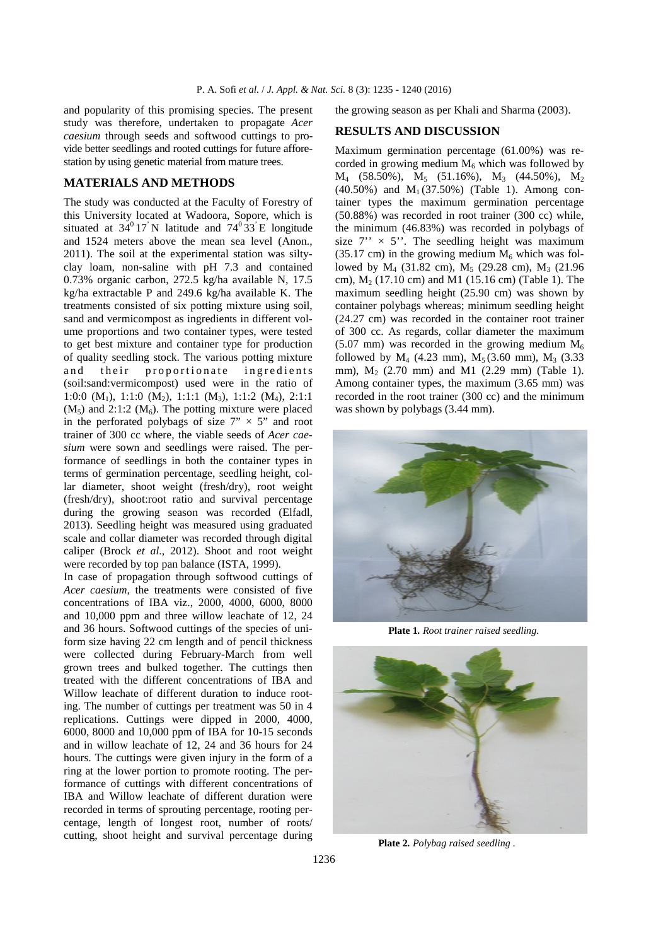and popularity of this promising species. The present study was therefore, undertaken to propagate *Acer caesium* through seeds and softwood cuttings to provide better seedlings and rooted cuttings for future afforestation by using genetic material from mature trees.

## **MATERIALS AND METHODS**

The study was conducted at the Faculty of Forestry of this University located at Wadoora, Sopore, which is situated at  $34^{\circ}17'$  N latitude and  $74^{\circ}33'$  E longitude and 1524 meters above the mean sea level (Anon., 2011). The soil at the experimental station was siltyclay loam, non-saline with pH 7.3 and contained 0.73% organic carbon, 272.5 kg/ha available N, 17.5 kg/ha extractable P and 249.6 kg/ha available K. The treatments consisted of six potting mixture using soil, sand and vermicompost as ingredients in different volume proportions and two container types, were tested to get best mixture and container type for production of quality seedling stock. The various potting mixture and their proportionate ingredients (soil:sand:vermicompost) used were in the ratio of 1:0:0  $(M_1)$ , 1:1:0  $(M_2)$ , 1:1:1  $(M_3)$ , 1:1:2  $(M_4)$ , 2:1:1  $(M<sub>5</sub>)$  and 2:1:2  $(M<sub>6</sub>)$ . The potting mixture were placed in the perforated polybags of size  $7" \times 5"$  and root trainer of 300 cc where, the viable seeds of *Acer caesium* were sown and seedlings were raised. The performance of seedlings in both the container types in terms of germination percentage, seedling height, collar diameter, shoot weight (fresh/dry), root weight (fresh/dry), shoot:root ratio and survival percentage during the growing season was recorded (Elfadl, 2013). Seedling height was measured using graduated scale and collar diameter was recorded through digital caliper (Brock *et al*., 2012). Shoot and root weight were recorded by top pan balance (ISTA, 1999).

In case of propagation through softwood cuttings of *Acer caesium*, the treatments were consisted of five concentrations of IBA viz., 2000, 4000, 6000, 8000 and 10,000 ppm and three willow leachate of 12, 24 and 36 hours. Softwood cuttings of the species of uniform size having 22 cm length and of pencil thickness were collected during February-March from well grown trees and bulked together. The cuttings then treated with the different concentrations of IBA and Willow leachate of different duration to induce rooting. The number of cuttings per treatment was 50 in 4 replications. Cuttings were dipped in 2000, 4000, 6000, 8000 and 10,000 ppm of IBA for 10-15 seconds and in willow leachate of 12, 24 and 36 hours for 24 hours. The cuttings were given injury in the form of a ring at the lower portion to promote rooting. The performance of cuttings with different concentrations of IBA and Willow leachate of different duration were recorded in terms of sprouting percentage, rooting percentage, length of longest root, number of roots/ cutting, shoot height and survival percentage during

the growing season as per Khali and Sharma (2003).

## **RESULTS AND DISCUSSION**

Maximum germination percentage (61.00%) was recorded in growing medium  $M<sub>6</sub>$  which was followed by  $M_4$  (58.50%),  $M_5$  (51.16%),  $M_3$  (44.50%),  $M_2$  $(40.50\%)$  and  $M_1(37.50\%)$  (Table 1). Among container types the maximum germination percentage (50.88%) was recorded in root trainer (300 cc) while, the minimum (46.83%) was recorded in polybags of size  $7'' \times 5''$ . The seedling height was maximum  $(35.17 \text{ cm})$  in the growing medium  $M_6$  which was followed by  $M_4$  (31.82 cm),  $M_5$  (29.28 cm),  $M_3$  (21.96 cm),  $M_2$  (17.10 cm) and M1 (15.16 cm) (Table 1). The maximum seedling height (25.90 cm) was shown by container polybags whereas; minimum seedling height (24.27 cm) was recorded in the container root trainer of 300 cc. As regards, collar diameter the maximum  $(5.07 \text{ mm})$  was recorded in the growing medium  $M_6$ followed by  $M_4$  (4.23 mm),  $M_5$  (3.60 mm),  $M_3$  (3.33 mm),  $M_2$  (2.70 mm) and M1 (2.29 mm) (Table 1). Among container types, the maximum (3.65 mm) was recorded in the root trainer (300 cc) and the minimum was shown by polybags  $(3.44 \text{ mm})$ .



**Plate 1***. Root trainer raised seedling.* 



 **Plate 2***. Polybag raised seedling .*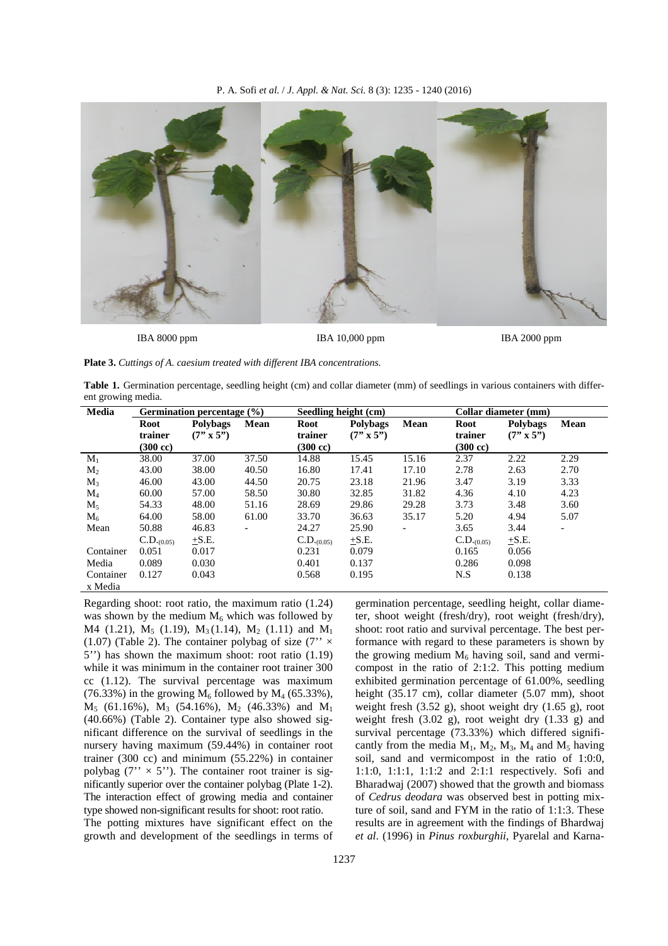

**IBA 8000 ppm IBA 10,000 ppm IBA 2000 ppm** 



Table 1. Germination percentage, seedling height (cm) and collar diameter (mm) of seedlings in various containers with different growing media.

| Media          | Germination percentage $(\% )$ |                  |                          | Seedling height (cm) |                  |       | Collar diameter (mm) |                  |                          |
|----------------|--------------------------------|------------------|--------------------------|----------------------|------------------|-------|----------------------|------------------|--------------------------|
|                | Root                           | <b>Polybags</b>  | Mean                     | Root                 | <b>Polybags</b>  | Mean  | Root                 | <b>Polybags</b>  | Mean                     |
|                | trainer                        | $(7" \times 5")$ |                          | trainer              | $(7" \times 5")$ |       | trainer              | $(7" \times 5")$ |                          |
|                | $(300 \text{ cc})$             |                  |                          | $(300 \text{ cc})$   |                  |       | $(300 \text{ cc})$   |                  |                          |
| $M_1$          | 38.00                          | 37.00            | 37.50                    | 14.88                | 15.45            | 15.16 | 2.37                 | 2.22             | 2.29                     |
| M <sub>2</sub> | 43.00                          | 38.00            | 40.50                    | 16.80                | 17.41            | 17.10 | 2.78                 | 2.63             | 2.70                     |
| $M_3$          | 46.00                          | 43.00            | 44.50                    | 20.75                | 23.18            | 21.96 | 3.47                 | 3.19             | 3.33                     |
| $\rm M_4$      | 60.00                          | 57.00            | 58.50                    | 30.80                | 32.85            | 31.82 | 4.36                 | 4.10             | 4.23                     |
| $M_5$          | 54.33                          | 48.00            | 51.16                    | 28.69                | 29.86            | 29.28 | 3.73                 | 3.48             | 3.60                     |
| $M_6$          | 64.00                          | 58.00            | 61.00                    | 33.70                | 36.63            | 35.17 | 5.20                 | 4.94             | 5.07                     |
| Mean           | 50.88                          | 46.83            | $\overline{\phantom{a}}$ | 24.27                | 25.90            |       | 3.65                 | 3.44             | $\overline{\phantom{a}}$ |
|                | $C.D._{(0.05)}$                | $+S.E.$          |                          | $C.D._{(0.05)}$      | $+S.E.$          |       | $C.D._{(0.05)}$      | $+S.E.$          |                          |
| Container      | 0.051                          | 0.017            |                          | 0.231                | 0.079            |       | 0.165                | 0.056            |                          |
| Media          | 0.089                          | 0.030            |                          | 0.401                | 0.137            |       | 0.286                | 0.098            |                          |
| Container      | 0.127                          | 0.043            |                          | 0.568                | 0.195            |       | N.S                  | 0.138            |                          |
| x Media        |                                |                  |                          |                      |                  |       |                      |                  |                          |

Regarding shoot: root ratio, the maximum ratio (1.24) was shown by the medium  $M_6$  which was followed by  $M4$  (1.21),  $M_5$  (1.19),  $M_3$ (1.14),  $M_2$  (1.11) and  $M_1$ (1.07) (Table 2). The container polybag of size (7" $\times$ 5'') has shown the maximum shoot: root ratio (1.19) while it was minimum in the container root trainer 300 cc (1.12). The survival percentage was maximum (76.33%) in the growing  $M_6$  followed by  $M_4$  (65.33%),  $M_5$  (61.16%),  $M_3$  (54.16%),  $M_2$  (46.33%) and  $M_1$ (40.66%) (Table 2). Container type also showed significant difference on the survival of seedlings in the nursery having maximum (59.44%) in container root trainer (300 cc) and minimum (55.22%) in container polybag  $(7'' \times 5'')$ . The container root trainer is significantly superior over the container polybag (Plate 1-2). The interaction effect of growing media and container type showed non-significant results for shoot: root ratio. The potting mixtures have significant effect on the growth and development of the seedlings in terms of

germination percentage, seedling height, collar diameter, shoot weight (fresh/dry), root weight (fresh/dry), shoot: root ratio and survival percentage. The best performance with regard to these parameters is shown by the growing medium  $M_6$  having soil, sand and vermicompost in the ratio of 2:1:2. This potting medium exhibited germination percentage of 61.00%, seedling height (35.17 cm), collar diameter (5.07 mm), shoot weight fresh  $(3.52 \text{ g})$ , shoot weight dry  $(1.65 \text{ g})$ , root weight fresh  $(3.02 \text{ g})$ , root weight dry  $(1.33 \text{ g})$  and survival percentage (73.33%) which differed significantly from the media  $M_1$ ,  $M_2$ ,  $M_3$ ,  $M_4$  and  $M_5$  having soil, sand and vermicompost in the ratio of 1:0:0, 1:1:0, 1:1:1, 1:1:2 and 2:1:1 respectively. Sofi and Bharadwaj (2007) showed that the growth and biomass of *Cedrus deodara* was observed best in potting mixture of soil, sand and FYM in the ratio of 1:1:3. These results are in agreement with the findings of Bhardwaj *et al*. (1996) in *Pinus roxburghii*, Pyarelal and Karna-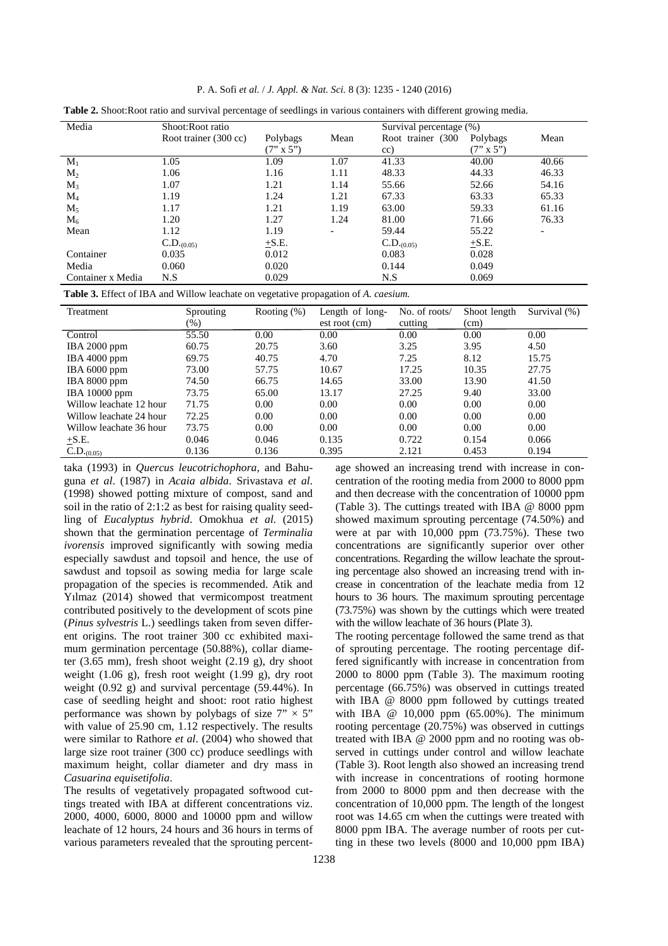|  |  |  |  |  | P. A. Sofi et al. / J. Appl. & Nat. Sci. 8 (3): 1235 - 1240 (2016) |  |  |  |  |  |  |  |  |
|--|--|--|--|--|--------------------------------------------------------------------|--|--|--|--|--|--|--|--|
|--|--|--|--|--|--------------------------------------------------------------------|--|--|--|--|--|--|--|--|

| Media             | Shoot:Root ratio      |                  |      | Survival percentage (%) |                  |       |  |
|-------------------|-----------------------|------------------|------|-------------------------|------------------|-------|--|
|                   | Root trainer (300 cc) | Polybags         | Mean | Root trainer (300       | Polybags         | Mean  |  |
|                   |                       | $(7" \times 5")$ |      | cc)                     | $(7" \times 5")$ |       |  |
| $M_1$             | 1.05                  | 1.09             | 1.07 | 41.33                   | 40.00            | 40.66 |  |
| $M_{2}$           | 1.06                  | 1.16             | 1.11 | 48.33                   | 44.33            | 46.33 |  |
| $M_3$             | 1.07                  | 1.21             | 1.14 | 55.66                   | 52.66            | 54.16 |  |
| $\mathbf{M}_4$    | 1.19                  | 1.24             | 1.21 | 67.33                   | 63.33            | 65.33 |  |
| $M_5$             | 1.17                  | 1.21             | 1.19 | 63.00                   | 59.33            | 61.16 |  |
| $M_6$             | 1.20                  | 1.27             | 1.24 | 81.00                   | 71.66            | 76.33 |  |
| Mean              | 1.12                  | 1.19             |      | 59.44                   | 55.22            |       |  |
|                   | $C.D._{(0.05)}$       | $+S.E.$          |      | $C.D._{(0.05)}$         | $\pm$ S.E.       |       |  |
| Container         | 0.035                 | 0.012            |      | 0.083                   | 0.028            |       |  |
| Media             | 0.060                 | 0.020            |      | 0.144                   | 0.049            |       |  |
| Container x Media | N.S                   | 0.029            |      | N.S                     | 0.069            |       |  |

**Table 2.** Shoot:Root ratio and survival percentage of seedlings in various containers with different growing media.

**Table 3.** Effect of IBA and Willow leachate on vegetative propagation of *A. caesium.* 

| Treatment               | Sprouting | Rooting $(\%)$ | Length of long- | No. of roots/ | Shoot length | Survival $(\%)$ |
|-------------------------|-----------|----------------|-----------------|---------------|--------------|-----------------|
|                         | $(\%)$    |                | est root (cm)   | cutting       | (cm)         |                 |
| Control                 | 55.50     | 0.00           | 0.00            | 0.00          | 0.00         | 0.00            |
| IBA 2000 ppm            | 60.75     | 20.75          | 3.60            | 3.25          | 3.95         | 4.50            |
| IBA 4000 ppm            | 69.75     | 40.75          | 4.70            | 7.25          | 8.12         | 15.75           |
| IBA 6000 ppm            | 73.00     | 57.75          | 10.67           | 17.25         | 10.35        | 27.75           |
| IBA 8000 ppm            | 74.50     | 66.75          | 14.65           | 33.00         | 13.90        | 41.50           |
| IBA 10000 ppm           | 73.75     | 65.00          | 13.17           | 27.25         | 9.40         | 33.00           |
| Willow leachate 12 hour | 71.75     | 0.00           | 0.00            | 0.00          | 0.00         | 0.00            |
| Willow leachate 24 hour | 72.25     | 0.00           | 0.00            | 0.00          | 0.00         | 0.00            |
| Willow leachate 36 hour | 73.75     | 0.00           | 0.00            | 0.00          | 0.00         | 0.00            |
| $+S.E.$                 | 0.046     | 0.046          | 0.135           | 0.722         | 0.154        | 0.066           |
| $C.D._{(0.05)}$         | 0.136     | 0.136          | 0.395           | 2.121         | 0.453        | 0.194           |

taka (1993) in *Quercus leucotrichophora*, and Bahuguna *et al*. (1987) in *Acaia albida*. Srivastava *et al*. (1998) showed potting mixture of compost, sand and soil in the ratio of 2:1:2 as best for raising quality seedling of *Eucalyptus hybrid*. Omokhua *et al*. (2015) shown that the germination percentage of *Terminalia ivorensis* improved significantly with sowing media especially sawdust and topsoil and hence, the use of sawdust and topsoil as sowing media for large scale propagation of the species is recommended. Atik and Yılmaz (2014) showed that vermicompost treatment contributed positively to the development of scots pine (*Pinus sylvestris* L.) seedlings taken from seven different origins. The root trainer 300 cc exhibited maximum germination percentage (50.88%), collar diameter  $(3.65 \text{ mm})$ , fresh shoot weight  $(2.19 \text{ g})$ , dry shoot weight  $(1.06 \text{ g})$ , fresh root weight  $(1.99 \text{ g})$ , dry root weight (0.92 g) and survival percentage (59.44%). In case of seedling height and shoot: root ratio highest performance was shown by polybags of size  $7" \times 5"$ with value of 25.90 cm, 1.12 respectively. The results were similar to Rathore *et al*. (2004) who showed that large size root trainer (300 cc) produce seedlings with maximum height, collar diameter and dry mass in *Casuarina equisetifolia*.

The results of vegetatively propagated softwood cuttings treated with IBA at different concentrations viz. 2000, 4000, 6000, 8000 and 10000 ppm and willow leachate of 12 hours, 24 hours and 36 hours in terms of various parameters revealed that the sprouting percent-

age showed an increasing trend with increase in concentration of the rooting media from 2000 to 8000 ppm and then decrease with the concentration of 10000 ppm (Table 3). The cuttings treated with IBA @ 8000 ppm showed maximum sprouting percentage (74.50%) and were at par with 10,000 ppm (73.75%). These two concentrations are significantly superior over other concentrations. Regarding the willow leachate the sprouting percentage also showed an increasing trend with increase in concentration of the leachate media from 12 hours to 36 hours. The maximum sprouting percentage (73.75%) was shown by the cuttings which were treated with the willow leachate of 36 hours (Plate 3).

The rooting percentage followed the same trend as that of sprouting percentage. The rooting percentage differed significantly with increase in concentration from 2000 to 8000 ppm (Table 3). The maximum rooting percentage (66.75%) was observed in cuttings treated with IBA @ 8000 ppm followed by cuttings treated with IBA @ 10,000 ppm (65.00%). The minimum rooting percentage (20.75%) was observed in cuttings treated with IBA @ 2000 ppm and no rooting was observed in cuttings under control and willow leachate (Table 3). Root length also showed an increasing trend with increase in concentrations of rooting hormone from 2000 to 8000 ppm and then decrease with the concentration of 10,000 ppm. The length of the longest root was 14.65 cm when the cuttings were treated with 8000 ppm IBA. The average number of roots per cutting in these two levels (8000 and 10,000 ppm IBA)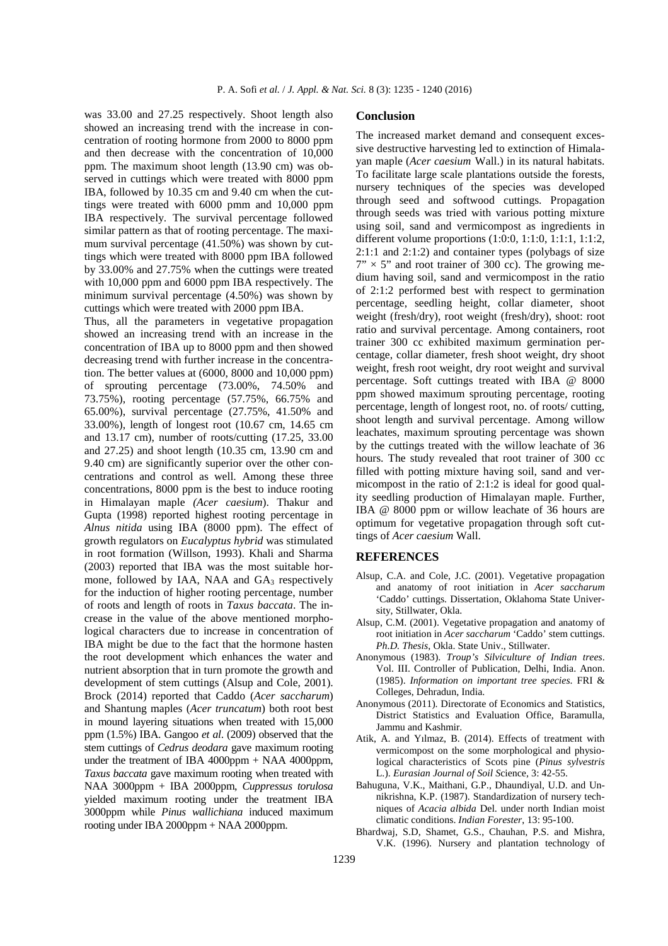was 33.00 and 27.25 respectively. Shoot length also showed an increasing trend with the increase in concentration of rooting hormone from 2000 to 8000 ppm and then decrease with the concentration of 10,000 ppm. The maximum shoot length (13.90 cm) was observed in cuttings which were treated with 8000 ppm IBA, followed by 10.35 cm and 9.40 cm when the cuttings were treated with 6000 pmm and 10,000 ppm IBA respectively. The survival percentage followed similar pattern as that of rooting percentage. The maximum survival percentage (41.50%) was shown by cuttings which were treated with 8000 ppm IBA followed by 33.00% and 27.75% when the cuttings were treated with 10,000 ppm and 6000 ppm IBA respectively. The minimum survival percentage (4.50%) was shown by cuttings which were treated with 2000 ppm IBA.

Thus, all the parameters in vegetative propagation showed an increasing trend with an increase in the concentration of IBA up to 8000 ppm and then showed decreasing trend with further increase in the concentration. The better values at (6000, 8000 and 10,000 ppm) of sprouting percentage (73.00%, 74.50% and 73.75%), rooting percentage (57.75%, 66.75% and 65.00%), survival percentage (27.75%, 41.50% and 33.00%), length of longest root (10.67 cm, 14.65 cm and 13.17 cm), number of roots/cutting (17.25, 33.00 and 27.25) and shoot length (10.35 cm, 13.90 cm and 9.40 cm) are significantly superior over the other concentrations and control as well. Among these three concentrations, 8000 ppm is the best to induce rooting in Himalayan maple *(Acer caesium*). Thakur and Gupta (1998) reported highest rooting percentage in *Alnus nitida* using IBA (8000 ppm). The effect of growth regulators on *Eucalyptus hybrid* was stimulated in root formation (Willson, 1993). Khali and Sharma (2003) reported that IBA was the most suitable hormone, followed by IAA, NAA and  $GA_3$  respectively for the induction of higher rooting percentage, number of roots and length of roots in *Taxus baccata*. The increase in the value of the above mentioned morphological characters due to increase in concentration of IBA might be due to the fact that the hormone hasten the root development which enhances the water and nutrient absorption that in turn promote the growth and development of stem cuttings (Alsup and Cole, 2001). Brock (2014) reported that Caddo (*Acer saccharum*) and Shantung maples (*Acer truncatum*) both root best in mound layering situations when treated with 15,000 ppm (1.5%) IBA. Gangoo *et al*. (2009) observed that the stem cuttings of *Cedrus deodara* gave maximum rooting under the treatment of IBA 4000ppm + NAA 4000ppm, *Taxus baccata* gave maximum rooting when treated with NAA 3000ppm + IBA 2000ppm, *Cuppressus torulosa* yielded maximum rooting under the treatment IBA 3000ppm while *Pinus wallichiana* induced maximum rooting under IBA 2000ppm + NAA 2000ppm.

#### **Conclusion**

The increased market demand and consequent excessive destructive harvesting led to extinction of Himalayan maple (*Acer caesium* Wall.) in its natural habitats. To facilitate large scale plantations outside the forests, nursery techniques of the species was developed through seed and softwood cuttings. Propagation through seeds was tried with various potting mixture using soil, sand and vermicompost as ingredients in different volume proportions (1:0:0, 1:1:0, 1:1:1, 1:1:2,  $2:1:1$  and  $2:1:2$ ) and container types (polybags of size  $7'' \times 5''$  and root trainer of 300 cc). The growing medium having soil, sand and vermicompost in the ratio of 2:1:2 performed best with respect to germination percentage, seedling height, collar diameter, shoot weight (fresh/dry), root weight (fresh/dry), shoot: root ratio and survival percentage. Among containers, root trainer 300 cc exhibited maximum germination percentage, collar diameter, fresh shoot weight, dry shoot weight, fresh root weight, dry root weight and survival percentage. Soft cuttings treated with IBA @ 8000 ppm showed maximum sprouting percentage, rooting percentage, length of longest root, no. of roots/ cutting, shoot length and survival percentage. Among willow leachates, maximum sprouting percentage was shown by the cuttings treated with the willow leachate of 36 hours. The study revealed that root trainer of 300 cc filled with potting mixture having soil, sand and vermicompost in the ratio of 2:1:2 is ideal for good quality seedling production of Himalayan maple. Further, IBA @ 8000 ppm or willow leachate of 36 hours are optimum for vegetative propagation through soft cuttings of *Acer caesium* Wall.

### **REFERENCES**

- Alsup, C.A. and Cole, J.C. (2001). Vegetative propagation and anatomy of root initiation in *Acer saccharum* 'Caddo' cuttings. Dissertation, Oklahoma State University, Stillwater, Okla.
- Alsup, C.M. (2001). Vegetative propagation and anatomy of root initiation in *Acer saccharum* 'Caddo' stem cuttings. *Ph.D. Thesis*, Okla. State Univ., Stillwater.
- Anonymous (1983). *Troup's Silviculture of Indian trees*. Vol. III. Controller of Publication, Delhi, India. Anon. (1985). *Information on important tree species*. FRI & Colleges, Dehradun, India.
- Anonymous (2011). Directorate of Economics and Statistics, District Statistics and Evaluation Office, Baramulla, Jammu and Kashmir.
- Atik, A. and Yılmaz, B. (2014). Effects of treatment with vermicompost on the some morphological and physiological characteristics of Scots pine (*Pinus sylvestris*  L.). *Eurasian Journal of Soil S*cience, 3: 42-55.
- Bahuguna, V.K., Maithani, G.P., Dhaundiyal, U.D. and Unnikrishna, K.P. (1987). Standardization of nursery techniques of *Acacia albida* Del. under north Indian moist climatic conditions. *Indian Forester*, 13: 95-100.
- Bhardwaj, S.D, Shamet, G.S., Chauhan, P.S. and Mishra, V.K. (1996). Nursery and plantation technology of